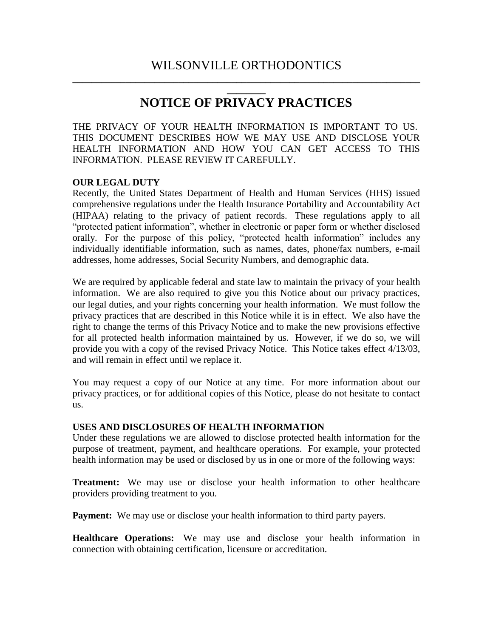# **\_\_\_\_\_\_\_\_ NOTICE OF PRIVACY PRACTICES**

THE PRIVACY OF YOUR HEALTH INFORMATION IS IMPORTANT TO US. THIS DOCUMENT DESCRIBES HOW WE MAY USE AND DISCLOSE YOUR HEALTH INFORMATION AND HOW YOU CAN GET ACCESS TO THIS INFORMATION. PLEASE REVIEW IT CAREFULLY.

#### **OUR LEGAL DUTY**

Recently, the United States Department of Health and Human Services (HHS) issued comprehensive regulations under the Health Insurance Portability and Accountability Act (HIPAA) relating to the privacy of patient records. These regulations apply to all "protected patient information", whether in electronic or paper form or whether disclosed orally. For the purpose of this policy, "protected health information" includes any individually identifiable information, such as names, dates, phone/fax numbers, e-mail addresses, home addresses, Social Security Numbers, and demographic data.

We are required by applicable federal and state law to maintain the privacy of your health information. We are also required to give you this Notice about our privacy practices, our legal duties, and your rights concerning your health information. We must follow the privacy practices that are described in this Notice while it is in effect. We also have the right to change the terms of this Privacy Notice and to make the new provisions effective for all protected health information maintained by us. However, if we do so, we will provide you with a copy of the revised Privacy Notice. This Notice takes effect 4/13/03, and will remain in effect until we replace it.

You may request a copy of our Notice at any time. For more information about our privacy practices, or for additional copies of this Notice, please do not hesitate to contact us.

#### **USES AND DISCLOSURES OF HEALTH INFORMATION**

Under these regulations we are allowed to disclose protected health information for the purpose of treatment, payment, and healthcare operations. For example, your protected health information may be used or disclosed by us in one or more of the following ways:

**Treatment:** We may use or disclose your health information to other healthcare providers providing treatment to you.

**Payment:** We may use or disclose your health information to third party payers.

**Healthcare Operations:** We may use and disclose your health information in connection with obtaining certification, licensure or accreditation.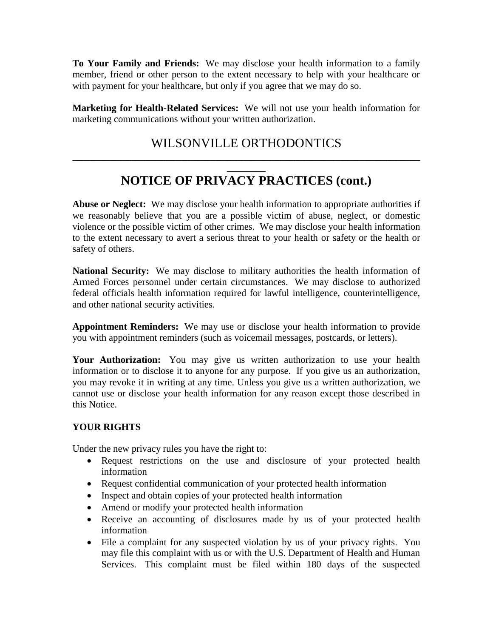**To Your Family and Friends:** We may disclose your health information to a family member, friend or other person to the extent necessary to help with your healthcare or with payment for your healthcare, but only if you agree that we may do so.

**Marketing for Health-Related Services:** We will not use your health information for marketing communications without your written authorization.

# WILSONVILLE ORTHODONTICS **\_\_\_\_\_\_\_\_\_\_\_\_\_\_\_\_\_\_\_\_\_\_\_\_\_\_\_\_\_\_\_\_\_\_\_\_\_\_\_\_\_\_\_\_\_\_\_\_\_\_\_\_\_\_\_\_\_\_\_\_\_\_\_\_\_\_\_\_\_\_\_\_**

# **\_\_\_\_\_\_\_\_ NOTICE OF PRIVACY PRACTICES (cont.)**

**Abuse or Neglect:** We may disclose your health information to appropriate authorities if we reasonably believe that you are a possible victim of abuse, neglect, or domestic violence or the possible victim of other crimes. We may disclose your health information to the extent necessary to avert a serious threat to your health or safety or the health or safety of others.

**National Security:** We may disclose to military authorities the health information of Armed Forces personnel under certain circumstances. We may disclose to authorized federal officials health information required for lawful intelligence, counterintelligence, and other national security activities.

**Appointment Reminders:** We may use or disclose your health information to provide you with appointment reminders (such as voicemail messages, postcards, or letters).

**Your Authorization:** You may give us written authorization to use your health information or to disclose it to anyone for any purpose. If you give us an authorization, you may revoke it in writing at any time. Unless you give us a written authorization, we cannot use or disclose your health information for any reason except those described in this Notice.

#### **YOUR RIGHTS**

Under the new privacy rules you have the right to:

- Request restrictions on the use and disclosure of your protected health information
- Request confidential communication of your protected health information
- Inspect and obtain copies of your protected health information
- Amend or modify your protected health information
- Receive an accounting of disclosures made by us of your protected health information
- File a complaint for any suspected violation by us of your privacy rights. You may file this complaint with us or with the U.S. Department of Health and Human Services. This complaint must be filed within 180 days of the suspected